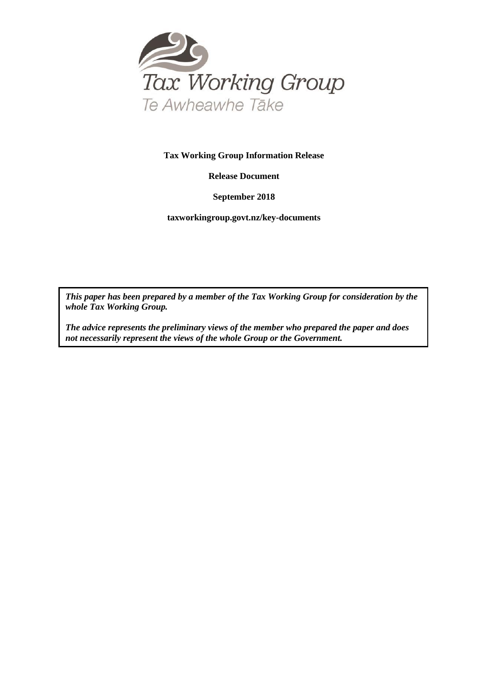

#### **Tax Working Group Information Release**

**Release Document**

**September 2018**

**taxworkingroup.govt.nz/key-documents**

*This paper has been prepared by a member of the Tax Working Group for consideration by the whole Tax Working Group.*

*The advice represents the preliminary views of the member who prepared the paper and does not necessarily represent the views of the whole Group or the Government.*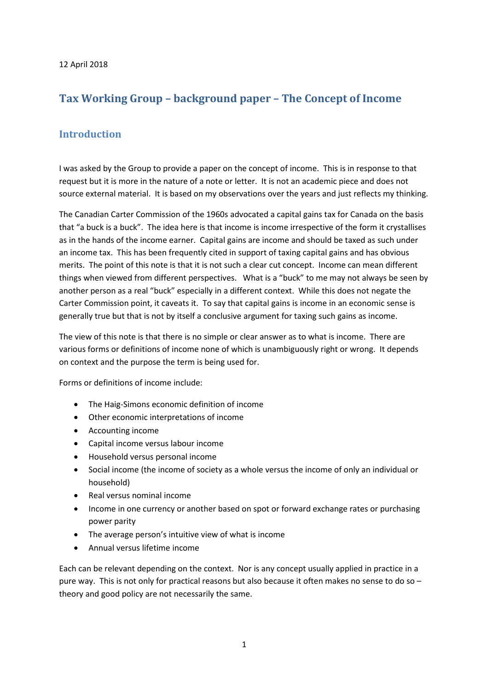# **Tax Working Group – background paper – The Concept of Income**

### **Introduction**

I was asked by the Group to provide a paper on the concept of income. This is in response to that request but it is more in the nature of a note or letter. It is not an academic piece and does not source external material. It is based on my observations over the years and just reflects my thinking.

The Canadian Carter Commission of the 1960s advocated a capital gains tax for Canada on the basis that "a buck is a buck". The idea here is that income is income irrespective of the form it crystallises as in the hands of the income earner. Capital gains are income and should be taxed as such under an income tax. This has been frequently cited in support of taxing capital gains and has obvious merits. The point of this note is that it is not such a clear cut concept. Income can mean different things when viewed from different perspectives. What is a "buck" to me may not always be seen by another person as a real "buck" especially in a different context. While this does not negate the Carter Commission point, it caveats it. To say that capital gains is income in an economic sense is generally true but that is not by itself a conclusive argument for taxing such gains as income.

The view of this note is that there is no simple or clear answer as to what is income. There are various forms or definitions of income none of which is unambiguously right or wrong. It depends on context and the purpose the term is being used for.

Forms or definitions of income include:

- The Haig-Simons economic definition of income
- Other economic interpretations of income
- Accounting income
- Capital income versus labour income
- Household versus personal income
- Social income (the income of society as a whole versus the income of only an individual or household)
- Real versus nominal income
- Income in one currency or another based on spot or forward exchange rates or purchasing power parity
- The average person's intuitive view of what is income
- Annual versus lifetime income

Each can be relevant depending on the context. Nor is any concept usually applied in practice in a pure way. This is not only for practical reasons but also because it often makes no sense to do so – theory and good policy are not necessarily the same.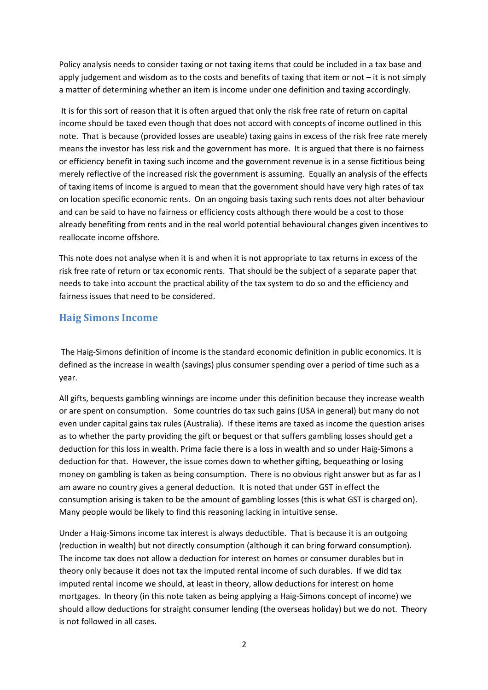Policy analysis needs to consider taxing or not taxing items that could be included in a tax base and apply judgement and wisdom as to the costs and benefits of taxing that item or not – it is not simply a matter of determining whether an item is income under one definition and taxing accordingly.

 It is for this sort of reason that it is often argued that only the risk free rate of return on capital income should be taxed even though that does not accord with concepts of income outlined in this note. That is because (provided losses are useable) taxing gains in excess of the risk free rate merely means the investor has less risk and the government has more. It is argued that there is no fairness or efficiency benefit in taxing such income and the government revenue is in a sense fictitious being merely reflective of the increased risk the government is assuming. Equally an analysis of the effects of taxing items of income is argued to mean that the government should have very high rates of tax on location specific economic rents. On an ongoing basis taxing such rents does not alter behaviour and can be said to have no fairness or efficiency costs although there would be a cost to those already benefiting from rents and in the real world potential behavioural changes given incentives to reallocate income offshore.

This note does not analyse when it is and when it is not appropriate to tax returns in excess of the risk free rate of return or tax economic rents. That should be the subject of a separate paper that needs to take into account the practical ability of the tax system to do so and the efficiency and fairness issues that need to be considered.

### **Haig Simons Income**

 The Haig-Simons definition of income is the standard economic definition in public economics. It is defined as the increase in wealth (savings) plus consumer spending over a period of time such as a year.

All gifts, bequests gambling winnings are income under this definition because they increase wealth or are spent on consumption. Some countries do tax such gains (USA in general) but many do not even under capital gains tax rules (Australia). If these items are taxed as income the question arises as to whether the party providing the gift or bequest or that suffers gambling losses should get a deduction for this loss in wealth. Prima facie there is a loss in wealth and so under Haig-Simons a deduction for that. However, the issue comes down to whether gifting, bequeathing or losing money on gambling is taken as being consumption. There is no obvious right answer but as far as I am aware no country gives a general deduction. It is noted that under GST in effect the consumption arising is taken to be the amount of gambling losses (this is what GST is charged on). Many people would be likely to find this reasoning lacking in intuitive sense.

Under a Haig-Simons income tax interest is always deductible. That is because it is an outgoing (reduction in wealth) but not directly consumption (although it can bring forward consumption). The income tax does not allow a deduction for interest on homes or consumer durables but in theory only because it does not tax the imputed rental income of such durables. If we did tax imputed rental income we should, at least in theory, allow deductions for interest on home mortgages. In theory (in this note taken as being applying a Haig-Simons concept of income) we should allow deductions for straight consumer lending (the overseas holiday) but we do not. Theory is not followed in all cases.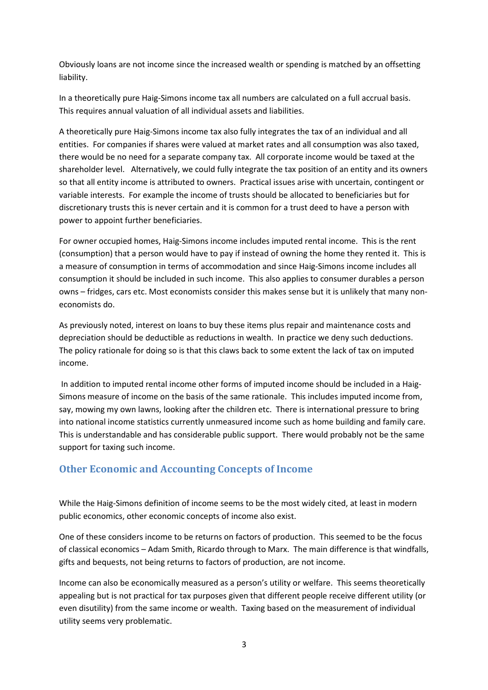Obviously loans are not income since the increased wealth or spending is matched by an offsetting liability.

In a theoretically pure Haig-Simons income tax all numbers are calculated on a full accrual basis. This requires annual valuation of all individual assets and liabilities.

A theoretically pure Haig-Simons income tax also fully integrates the tax of an individual and all entities. For companies if shares were valued at market rates and all consumption was also taxed, there would be no need for a separate company tax. All corporate income would be taxed at the shareholder level. Alternatively, we could fully integrate the tax position of an entity and its owners so that all entity income is attributed to owners. Practical issues arise with uncertain, contingent or variable interests. For example the income of trusts should be allocated to beneficiaries but for discretionary trusts this is never certain and it is common for a trust deed to have a person with power to appoint further beneficiaries.

For owner occupied homes, Haig-Simons income includes imputed rental income. This is the rent (consumption) that a person would have to pay if instead of owning the home they rented it. This is a measure of consumption in terms of accommodation and since Haig-Simons income includes all consumption it should be included in such income. This also applies to consumer durables a person owns – fridges, cars etc. Most economists consider this makes sense but it is unlikely that many noneconomists do.

As previously noted, interest on loans to buy these items plus repair and maintenance costs and depreciation should be deductible as reductions in wealth. In practice we deny such deductions. The policy rationale for doing so is that this claws back to some extent the lack of tax on imputed income.

 In addition to imputed rental income other forms of imputed income should be included in a Haig-Simons measure of income on the basis of the same rationale. This includes imputed income from, say, mowing my own lawns, looking after the children etc. There is international pressure to bring into national income statistics currently unmeasured income such as home building and family care. This is understandable and has considerable public support. There would probably not be the same support for taxing such income.

### **Other Economic and Accounting Concepts of Income**

While the Haig-Simons definition of income seems to be the most widely cited, at least in modern public economics, other economic concepts of income also exist.

One of these considers income to be returns on factors of production. This seemed to be the focus of classical economics – Adam Smith, Ricardo through to Marx. The main difference is that windfalls, gifts and bequests, not being returns to factors of production, are not income.

Income can also be economically measured as a person's utility or welfare. This seems theoretically appealing but is not practical for tax purposes given that different people receive different utility (or even disutility) from the same income or wealth. Taxing based on the measurement of individual utility seems very problematic.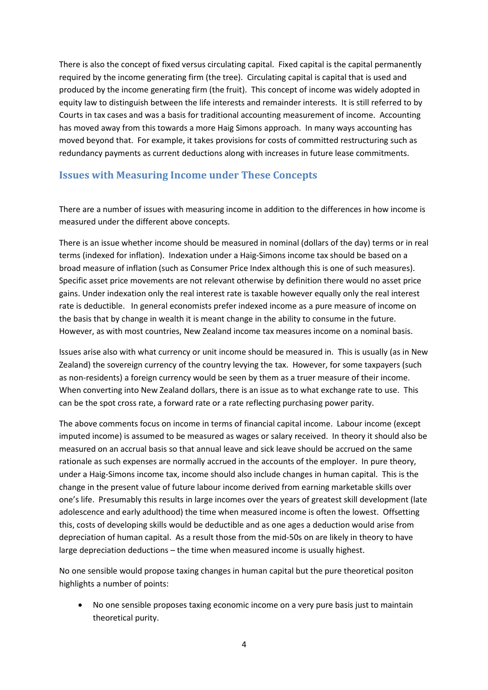There is also the concept of fixed versus circulating capital. Fixed capital is the capital permanently required by the income generating firm (the tree). Circulating capital is capital that is used and produced by the income generating firm (the fruit). This concept of income was widely adopted in equity law to distinguish between the life interests and remainder interests. It is still referred to by Courts in tax cases and was a basis for traditional accounting measurement of income. Accounting has moved away from this towards a more Haig Simons approach. In many ways accounting has moved beyond that. For example, it takes provisions for costs of committed restructuring such as redundancy payments as current deductions along with increases in future lease commitments.

### **Issues with Measuring Income under These Concepts**

There are a number of issues with measuring income in addition to the differences in how income is measured under the different above concepts.

There is an issue whether income should be measured in nominal (dollars of the day) terms or in real terms (indexed for inflation). Indexation under a Haig-Simons income tax should be based on a broad measure of inflation (such as Consumer Price Index although this is one of such measures). Specific asset price movements are not relevant otherwise by definition there would no asset price gains. Under indexation only the real interest rate is taxable however equally only the real interest rate is deductible. In general economists prefer indexed income as a pure measure of income on the basis that by change in wealth it is meant change in the ability to consume in the future. However, as with most countries, New Zealand income tax measures income on a nominal basis.

Issues arise also with what currency or unit income should be measured in. This is usually (as in New Zealand) the sovereign currency of the country levying the tax. However, for some taxpayers (such as non-residents) a foreign currency would be seen by them as a truer measure of their income. When converting into New Zealand dollars, there is an issue as to what exchange rate to use. This can be the spot cross rate, a forward rate or a rate reflecting purchasing power parity.

The above comments focus on income in terms of financial capital income. Labour income (except imputed income) is assumed to be measured as wages or salary received. In theory it should also be measured on an accrual basis so that annual leave and sick leave should be accrued on the same rationale as such expenses are normally accrued in the accounts of the employer. In pure theory, under a Haig-Simons income tax, income should also include changes in human capital. This is the change in the present value of future labour income derived from earning marketable skills over one's life. Presumably this results in large incomes over the years of greatest skill development (late adolescence and early adulthood) the time when measured income is often the lowest. Offsetting this, costs of developing skills would be deductible and as one ages a deduction would arise from depreciation of human capital. As a result those from the mid-50s on are likely in theory to have large depreciation deductions – the time when measured income is usually highest.

No one sensible would propose taxing changes in human capital but the pure theoretical positon highlights a number of points:

• No one sensible proposes taxing economic income on a very pure basis just to maintain theoretical purity.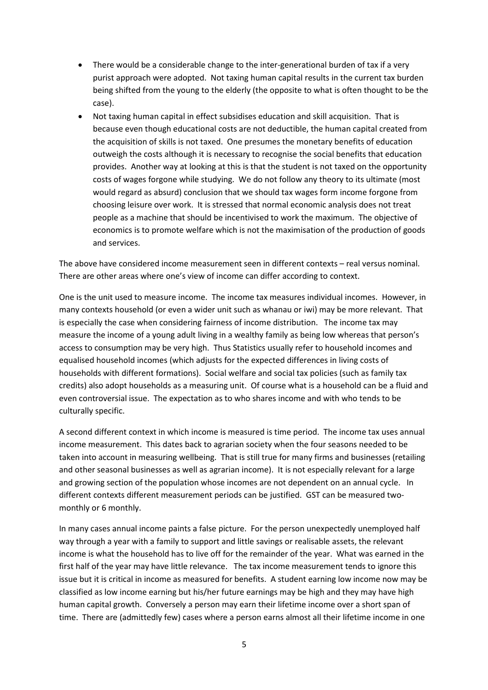- There would be a considerable change to the inter-generational burden of tax if a very purist approach were adopted. Not taxing human capital results in the current tax burden being shifted from the young to the elderly (the opposite to what is often thought to be the case).
- Not taxing human capital in effect subsidises education and skill acquisition. That is because even though educational costs are not deductible, the human capital created from the acquisition of skills is not taxed. One presumes the monetary benefits of education outweigh the costs although it is necessary to recognise the social benefits that education provides. Another way at looking at this is that the student is not taxed on the opportunity costs of wages forgone while studying. We do not follow any theory to its ultimate (most would regard as absurd) conclusion that we should tax wages form income forgone from choosing leisure over work. It is stressed that normal economic analysis does not treat people as a machine that should be incentivised to work the maximum. The objective of economics is to promote welfare which is not the maximisation of the production of goods and services.

The above have considered income measurement seen in different contexts – real versus nominal. There are other areas where one's view of income can differ according to context.

One is the unit used to measure income. The income tax measures individual incomes. However, in many contexts household (or even a wider unit such as whanau or iwi) may be more relevant. That is especially the case when considering fairness of income distribution. The income tax may measure the income of a young adult living in a wealthy family as being low whereas that person's access to consumption may be very high. Thus Statistics usually refer to household incomes and equalised household incomes (which adjusts for the expected differences in living costs of households with different formations). Social welfare and social tax policies (such as family tax credits) also adopt households as a measuring unit. Of course what is a household can be a fluid and even controversial issue. The expectation as to who shares income and with who tends to be culturally specific.

A second different context in which income is measured is time period. The income tax uses annual income measurement. This dates back to agrarian society when the four seasons needed to be taken into account in measuring wellbeing. That is still true for many firms and businesses (retailing and other seasonal businesses as well as agrarian income). It is not especially relevant for a large and growing section of the population whose incomes are not dependent on an annual cycle. In different contexts different measurement periods can be justified. GST can be measured twomonthly or 6 monthly.

In many cases annual income paints a false picture. For the person unexpectedly unemployed half way through a year with a family to support and little savings or realisable assets, the relevant income is what the household has to live off for the remainder of the year. What was earned in the first half of the year may have little relevance. The tax income measurement tends to ignore this issue but it is critical in income as measured for benefits. A student earning low income now may be classified as low income earning but his/her future earnings may be high and they may have high human capital growth. Conversely a person may earn their lifetime income over a short span of time. There are (admittedly few) cases where a person earns almost all their lifetime income in one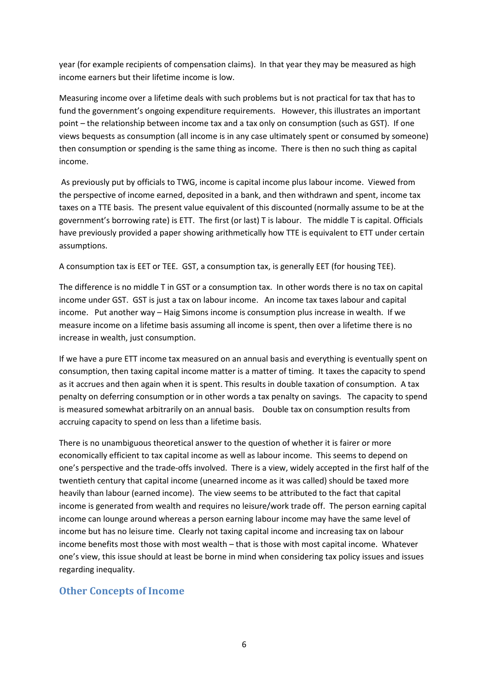year (for example recipients of compensation claims). In that year they may be measured as high income earners but their lifetime income is low.

Measuring income over a lifetime deals with such problems but is not practical for tax that has to fund the government's ongoing expenditure requirements. However, this illustrates an important point – the relationship between income tax and a tax only on consumption (such as GST). If one views bequests as consumption (all income is in any case ultimately spent or consumed by someone) then consumption or spending is the same thing as income. There is then no such thing as capital income.

 As previously put by officials to TWG, income is capital income plus labour income. Viewed from the perspective of income earned, deposited in a bank, and then withdrawn and spent, income tax taxes on a TTE basis. The present value equivalent of this discounted (normally assume to be at the government's borrowing rate) is ETT. The first (or last) T is labour. The middle T is capital. Officials have previously provided a paper showing arithmetically how TTE is equivalent to ETT under certain assumptions.

A consumption tax is EET or TEE. GST, a consumption tax, is generally EET (for housing TEE).

The difference is no middle T in GST or a consumption tax. In other words there is no tax on capital income under GST. GST is just a tax on labour income. An income tax taxes labour and capital income. Put another way – Haig Simons income is consumption plus increase in wealth. If we measure income on a lifetime basis assuming all income is spent, then over a lifetime there is no increase in wealth, just consumption.

If we have a pure ETT income tax measured on an annual basis and everything is eventually spent on consumption, then taxing capital income matter is a matter of timing. It taxes the capacity to spend as it accrues and then again when it is spent. This results in double taxation of consumption. A tax penalty on deferring consumption or in other words a tax penalty on savings. The capacity to spend is measured somewhat arbitrarily on an annual basis. Double tax on consumption results from accruing capacity to spend on less than a lifetime basis.

There is no unambiguous theoretical answer to the question of whether it is fairer or more economically efficient to tax capital income as well as labour income. This seems to depend on one's perspective and the trade-offs involved. There is a view, widely accepted in the first half of the twentieth century that capital income (unearned income as it was called) should be taxed more heavily than labour (earned income). The view seems to be attributed to the fact that capital income is generated from wealth and requires no leisure/work trade off. The person earning capital income can lounge around whereas a person earning labour income may have the same level of income but has no leisure time. Clearly not taxing capital income and increasing tax on labour income benefits most those with most wealth – that is those with most capital income. Whatever one's view, this issue should at least be borne in mind when considering tax policy issues and issues regarding inequality.

### **Other Concepts of Income**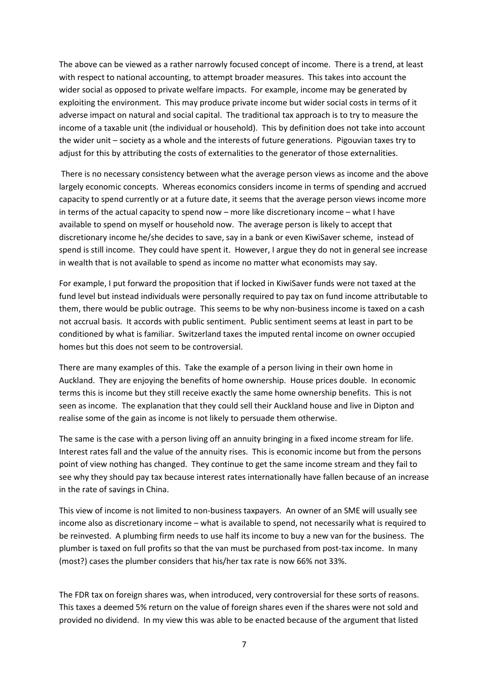The above can be viewed as a rather narrowly focused concept of income. There is a trend, at least with respect to national accounting, to attempt broader measures. This takes into account the wider social as opposed to private welfare impacts. For example, income may be generated by exploiting the environment. This may produce private income but wider social costs in terms of it adverse impact on natural and social capital. The traditional tax approach is to try to measure the income of a taxable unit (the individual or household). This by definition does not take into account the wider unit – society as a whole and the interests of future generations. Pigouvian taxes try to adjust for this by attributing the costs of externalities to the generator of those externalities.

 There is no necessary consistency between what the average person views as income and the above largely economic concepts. Whereas economics considers income in terms of spending and accrued capacity to spend currently or at a future date, it seems that the average person views income more in terms of the actual capacity to spend now – more like discretionary income – what I have available to spend on myself or household now. The average person is likely to accept that discretionary income he/she decides to save, say in a bank or even KiwiSaver scheme, instead of spend is still income. They could have spent it. However, I argue they do not in general see increase in wealth that is not available to spend as income no matter what economists may say.

For example, I put forward the proposition that if locked in KiwiSaver funds were not taxed at the fund level but instead individuals were personally required to pay tax on fund income attributable to them, there would be public outrage. This seems to be why non-business income is taxed on a cash not accrual basis. It accords with public sentiment. Public sentiment seems at least in part to be conditioned by what is familiar. Switzerland taxes the imputed rental income on owner occupied homes but this does not seem to be controversial.

There are many examples of this. Take the example of a person living in their own home in Auckland. They are enjoying the benefits of home ownership. House prices double. In economic terms this is income but they still receive exactly the same home ownership benefits. This is not seen as income. The explanation that they could sell their Auckland house and live in Dipton and realise some of the gain as income is not likely to persuade them otherwise.

The same is the case with a person living off an annuity bringing in a fixed income stream for life. Interest rates fall and the value of the annuity rises. This is economic income but from the persons point of view nothing has changed. They continue to get the same income stream and they fail to see why they should pay tax because interest rates internationally have fallen because of an increase in the rate of savings in China.

This view of income is not limited to non-business taxpayers. An owner of an SME will usually see income also as discretionary income – what is available to spend, not necessarily what is required to be reinvested. A plumbing firm needs to use half its income to buy a new van for the business. The plumber is taxed on full profits so that the van must be purchased from post-tax income. In many (most?) cases the plumber considers that his/her tax rate is now 66% not 33%.

The FDR tax on foreign shares was, when introduced, very controversial for these sorts of reasons. This taxes a deemed 5% return on the value of foreign shares even if the shares were not sold and provided no dividend. In my view this was able to be enacted because of the argument that listed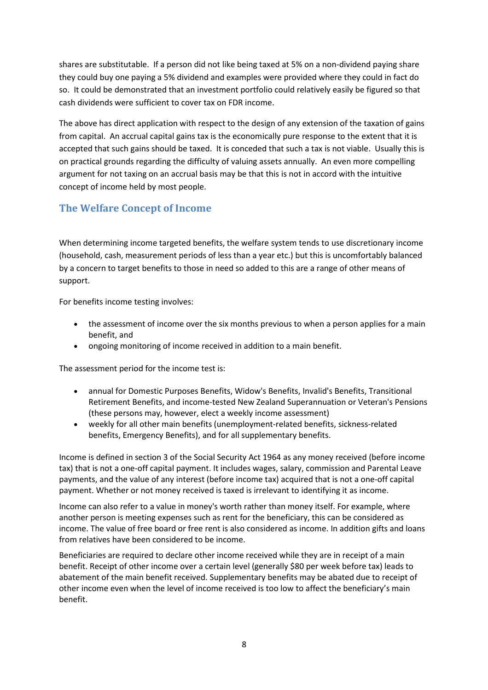shares are substitutable. If a person did not like being taxed at 5% on a non-dividend paying share they could buy one paying a 5% dividend and examples were provided where they could in fact do so. It could be demonstrated that an investment portfolio could relatively easily be figured so that cash dividends were sufficient to cover tax on FDR income.

The above has direct application with respect to the design of any extension of the taxation of gains from capital. An accrual capital gains tax is the economically pure response to the extent that it is accepted that such gains should be taxed. It is conceded that such a tax is not viable. Usually this is on practical grounds regarding the difficulty of valuing assets annually. An even more compelling argument for not taxing on an accrual basis may be that this is not in accord with the intuitive concept of income held by most people.

## **The Welfare Concept of Income**

When determining income targeted benefits, the welfare system tends to use discretionary income (household, cash, measurement periods of less than a year etc.) but this is uncomfortably balanced by a concern to target benefits to those in need so added to this are a range of other means of support.

For benefits income testing involves:

- the assessment of income over the six months previous to when a person applies for a main benefit, and
- ongoing monitoring of income received in addition to a main benefit.

The assessment period for the income test is:

- annual for Domestic Purposes Benefits, Widow's Benefits, Invalid's Benefits, Transitional Retirement Benefits, and income-tested New Zealand Superannuation or Veteran's Pensions (these persons may, however, elect a weekly income assessment)
- weekly for all other main benefits (unemployment-related benefits, sickness-related benefits, Emergency Benefits), and for all supplementary benefits.

Income is defined in section 3 of the Social Security Act 1964 as any money received (before income tax) that is not a one-off capital payment. It includes wages, salary, commission and Parental Leave payments, and the value of any interest (before income tax) acquired that is not a one-off capital payment. Whether or not money received is taxed is irrelevant to identifying it as income.

Income can also refer to a value in money's worth rather than money itself. For example, where another person is meeting expenses such as rent for the beneficiary, this can be considered as income. The value of free board or free rent is also considered as income. In addition gifts and loans from relatives have been considered to be income.

Beneficiaries are required to declare other income received while they are in receipt of a main benefit. Receipt of other income over a certain level (generally \$80 per week before tax) leads to abatement of the main benefit received. Supplementary benefits may be abated due to receipt of other income even when the level of income received is too low to affect the beneficiary's main benefit.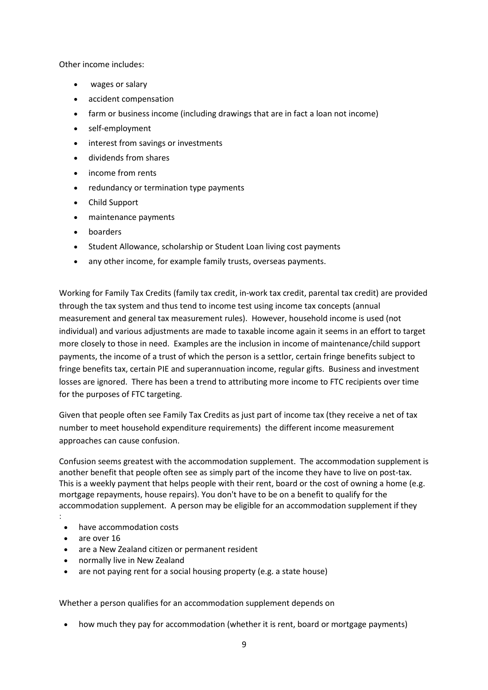Other income includes:

- wages or salary
- accident compensation
- farm or business income (including drawings that are in fact a loan not income)
- self-employment
- interest from savings or investments
- dividends from shares
- income from rents
- redundancy or termination type payments
- Child Support
- maintenance payments
- boarders
- Student Allowance, scholarship or Student Loan living cost payments
- any other income, for example family trusts, overseas payments.

Working for Family Tax Credits (family tax credit, in-work tax credit, parental tax credit) are provided through the tax system and thus tend to income test using income tax concepts (annual measurement and general tax measurement rules). However, household income is used (not individual) and various adjustments are made to taxable income again it seems in an effort to target more closely to those in need. Examples are the inclusion in income of maintenance/child support payments, the income of a trust of which the person is a settlor, certain fringe benefits subject to fringe benefits tax, certain PIE and superannuation income, regular gifts. Business and investment losses are ignored. There has been a trend to attributing more income to FTC recipients over time for the purposes of FTC targeting.

Given that people often see Family Tax Credits as just part of income tax (they receive a net of tax number to meet household expenditure requirements) the different income measurement approaches can cause confusion.

Confusion seems greatest with the accommodation supplement. The accommodation supplement is another benefit that people often see as simply part of the income they have to live on post-tax. This is a weekly payment that helps people with their rent, board or the cost of owning a home (e.g. mortgage repayments, house repairs). You don't have to be on a benefit to qualify for the accommodation supplement. A person may be eligible for an accommodation supplement if they

- have accommodation costs
- are over 16

:

- are a New Zealand citizen or permanent resident
- normally live in New Zealand
- are not paying rent for a social housing property (e.g. a state house)

Whether a person qualifies for an accommodation supplement depends on

• how much they pay for accommodation (whether it is rent, board or mortgage payments)